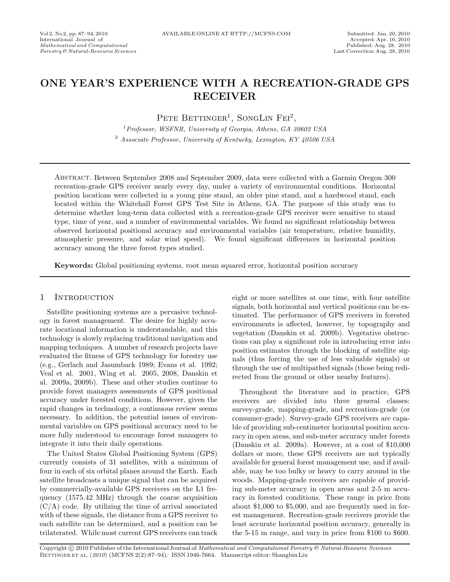# **ONE YEAR'S EXPERIENCE WITH A RECREATION-GRADE GPS RECEIVER**

PETE BETTINGER<sup>1</sup>, SONGLIN FEI<sup>2</sup>,

 $1$ Professor, WSFNR, University of Georgia, Athens, GA 30602 USA <sup>2</sup> Aesociate Professor, University of Kentucky, Jeannaton, KV 10506 U *Associate Professor, [University of Kentucky, Lexington, KY 40506 USA](http://www.uky.edu/)*

Abstract. Between September 2008 and September 2009, data were collected with a Garmin Oregon 300 recreation-grade GPS receiver nearly every day, under a variety of environmental conditions. Horizontal position locations were collected in a young pine stand, an older pine stand, and a hardwood stand, each located within the Whitehall Forest GPS Test Site in Athens, GA. The purpose of this study was to determine whether long-term data collected with a recreation-grade GPS receiver were sensitive to stand type, time of year, and a number of environmental variables. We found no significant relationship between observed horizontal positional accuracy and environmental variables (air temperature, relative humidity, atmospheric pressure, and solar wind speed). We found significant differences in horizontal position accuracy among the three forest types studied.

**Keywords:** Global positioning systems, root mean squared error, horizontal position accuracy

### 1 Introduction

Satellite positioning systems are a pervasive technology in forest management. The desire for highly accurate locational information is understandable, and this technology is slowly replacing traditional navigation and mapping techniques. A number of research projects have evaluated the fitness of GPS technology for forestry use (e.g., Gerlach and Jasumback 1989; Evans et al. 1992; Veal et al. 2001, Wing et al. 2005, 2008, Danskin et al. 2009a, 2009b). These and other studies continue to provide forest managers assessments of GPS positional accuracy under forested conditions. However, given the rapid changes in technology, a continuous review seems necessary. In addition, the potential issues of environmental variables on GPS positional accuracy need to be more fully understood to encourage forest managers to integrate it into their daily operations.

The United States Global Positioning System (GPS) currently consists of 31 satellites, with a minimum of four in each of six orbital planes around the Earth. Each satellite broadcasts a unique signal that can be acquired by commercially-available GPS receivers on the L1 frequency (1575.42 MHz) through the coarse acquisition  $(C/A)$  code. By utilizing the time of arrival associated with of these signals, the distance from a GPS receiver to each satellite can be determined, and a position can be trilaterated. While most current GPS receivers can track

eight or more satellites at one time, with four satellite signals, both horizontal and vertical positions can be estimated. The performance of GPS receivers in forested environments is affected, however, by topography and vegetation (Danskin et al. 2009b). Vegetative obstructions can play a significant role in introducing error into position estimates through the blocking of satellite signals (thus forcing the use of less valuable signals) or through the use of multipathed signals (those being redirected from the ground or other nearby features).

Throughout the literature and in practice, GPS receivers are divided into three general classes: survey-grade, mapping-grade, and recreation-grade (or consumer-grade). Survey-grade GPS receivers are capable of providing sub-centimeter horizontal position accuracy in open areas, and sub-meter accuracy under forests (Danskin et al. 2009a). However, at a cost of \$10,000 dollars or more, these GPS receivers are not typically available for general forest management use, and if available, may be too bulky or heavy to carry around in the woods. Mapping-grade receivers are capable of providing sub-meter accuracy in open areas and 2-5 m accuracy in forested conditions. These range in price from about \$1,000 to \$5,000, and are frequently used in forest management. Recreation-grade receivers provide the least accurate horizontal position accuracy, generally in the 5-15 m range, and vary in price from \$100 to \$600.

Copyright  $\odot$  2010 Publisher of the International Journal of *[Mathematical and Computational Forestry & Natural-Resource Sciences](http://mcfns.com)* BETTINGER ET AL. (2010) (MCFNS 2(2):87-94). ISSN 1946-7664. Manuscript [editor: Shangbin Liu](mailto://shangbinl@gmail.com)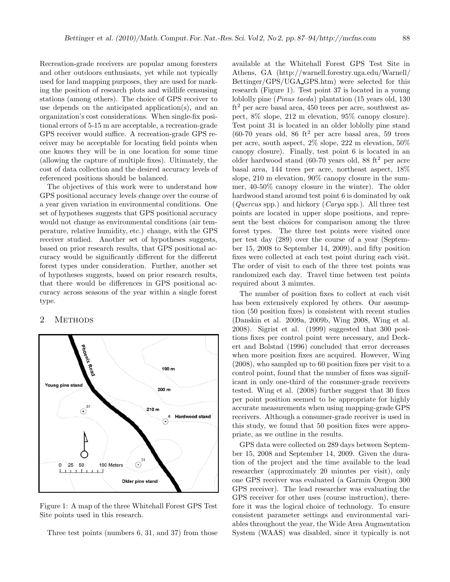Recreation-grade receivers are popular among foresters and other outdoors enthusiasts, yet while not typically used for land mapping purposes, they are used for marking the position of research plots and wildlife censusing stations (among others). The choice of GPS receiver to use depends on the anticipated application(s), and an organization's cost considerations. When single-fix positional errors of 5-15 m are acceptable, a recreation-grade GPS receiver would suffice. A recreation-grade GPS receiver may be acceptable for locating field points when one knows they will be in one location for some time (allowing the capture of multiple fixes). Ultimately, the cost of data collection and the desired accuracy levels of referenced positions should be balanced.

The objectives of this work were to understand how GPS positional accuracy levels change over the course of a year given variation in environmental conditions. One set of hypotheses suggests that GPS positional accuracy would not change as environmental conditions (air temperature, relative humidity, etc.) change, with the GPS receiver studied. Another set of hypotheses suggests, based on prior research results, that GPS positional accuracy would be significantly different for the different forest types under consideration. Further, another set of hypotheses suggests, based on prior research results, that there would be differences in GPS positional accuracy across seasons of the year within a single forest type.

# 2 METHODS



Figure 1: A map of the three Whitehall Forest GPS Test Site points used in this research.

Three test points (numbers 6, 31, and 37) from those

available at the Whitehall Forest GPS Test Site in Athens, GA (http://warnell.forestry.uga.edu/Warnell/ Bettinger/GPS/UGA GPS.htm) were selected for this research (Figure 1). Test point 37 is located in a young loblolly pine (*Pinus taeda*) plantation (15 years old, 130  $ft<sup>2</sup>$  per acre basal area, 450 trees per acre, southwest aspect, 8% slope, 212 m elevation, 95% canopy closure). Test point 31 is located in an older loblolly pine stand  $(60-70 \text{ years old}, 86 \text{ ft}^2 \text{ per acre basal area}, 59 \text{ trees}$ per acre, south aspect, 2% slope, 222 m elevation, 50% canopy closure). Finally, test point 6 is located in an older hardwood stand (60-70 years old, 88 ft<sup>2</sup> per acre basal area, 144 trees per acre, northeast aspect, 18% slope, 210 m elevation, 90% canopy closure in the summer, 40-50% canopy closure in the winter). The older hardwood stand around test point 6 is dominated by oak (*Quercus* spp.) and hickory (*Carya* spp.). All three test points are located in upper slope positions, and represent the best choices for comparison among the three forest types. The three test points were visited once per test day (289) over the course of a year (September 15, 2008 to September 14, 2009), and fifty position fixes were collected at each test point during each visit. The order of visit to each of the three test points was randomized each day. Travel time between test points required about 3 minutes.

The number of position fixes to collect at each visit has been extensively explored by others. Our assumption (50 position fixes) is consistent with recent studies (Danskin et al. 2009a, 2009b, Wing 2008, Wing et al. 2008). Sigrist et al. (1999) suggested that 300 positions fixes per control point were necessary, and Deckert and Bolstad (1996) concluded that error decreases when more position fixes are acquired. However, Wing (2008), who sampled up to 60 position fixes per visit to a control point, found that the number of fixes was significant in only one-third of the consumer-grade receivers tested. Wing et al. (2008) further suggest that 30 fixes per point position seemed to be appropriate for highly accurate measurements when using mapping-grade GPS receivers. Although a consumer-grade receiver is used in this study, we found that 50 position fixes were appropriate, as we outline in the results.

GPS data were collected on 289 days between September 15, 2008 and September 14, 2009. Given the duration of the project and the time available to the lead researcher (approximately 20 minutes per visit), only one GPS receiver was evaluated (a Garmin Oregon 300 GPS receiver). The lead researcher was evaluating the GPS receiver for other uses (course instruction), therefore it was the logical choice of technology. To ensure consistent parameter settings and environmental variables throughout the year, the Wide Area Augmentation System (WAAS) was disabled, since it typically is not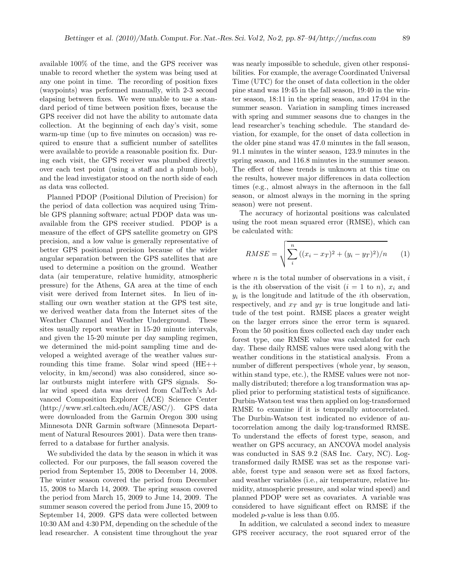available 100% of the time, and the GPS receiver was unable to record whether the system was being used at any one point in time. The recording of position fixes (waypoints) was performed manually, with 2-3 second elapsing between fixes. We were unable to use a standard period of time between position fixes, because the GPS receiver did not have the ability to automate data collection. At the beginning of each day's visit, some warm-up time (up to five minutes on occasion) was required to ensure that a sufficient number of satellites were available to provide a reasonable position fix. During each visit, the GPS receiver was plumbed directly over each test point (using a staff and a plumb bob), and the lead investigator stood on the north side of each as data was collected.

Planned PDOP (Positional Dilution of Precision) for the period of data collection was acquired using Trimble GPS planning software; actual PDOP data was unavailable from the GPS receiver studied. PDOP is a measure of the effect of GPS satellite geometry on GPS precision, and a low value is generally representative of better GPS positional precision because of the wider angular separation between the GPS satellites that are used to determine a position on the ground. Weather data (air temperature, relative humidity, atmospheric pressure) for the Athens, GA area at the time of each visit were derived from Internet sites. In lieu of installing our own weather station at the GPS test site, we derived weather data from the Internet sites of the Weather Channel and Weather Underground. These sites usually report weather in 15-20 minute intervals, and given the 15-20 minute per day sampling regimen, we determined the mid-point sampling time and developed a weighted average of the weather values surrounding this time frame. Solar wind speed (HE++ velocity, in km/second) was also considered, since solar outbursts might interfere with GPS signals. Solar wind speed data was derived from CalTech's Advanced Composition Explorer (ACE) Science Center (http://www.srl.caltech.edu/ACE/ASC/). GPS data were downloaded from the Garmin Oregon 300 using Minnesota DNR Garmin software (Minnesota Department of Natural Resources 2001). Data were then transferred to a database for further analysis.

We subdivided the data by the season in which it was collected. For our purposes, the fall season covered the period from September 15, 2008 to December 14, 2008. The winter season covered the period from December 15, 2008 to March 14, 2009. The spring season covered the period from March 15, 2009 to June 14, 2009. The summer season covered the period from June 15, 2009 to September 14, 2009. GPS data were collected between 10:30 AM and 4:30 PM, depending on the schedule of the lead researcher. A consistent time throughout the year was nearly impossible to schedule, given other responsibilities. For example, the average Coordinated Universal Time (UTC) for the onset of data collection in the older pine stand was 19:45 in the fall season, 19:40 in the winter season, 18:11 in the spring season, and 17:04 in the summer season. Variation in sampling times increased with spring and summer seasons due to changes in the lead researcher's teaching schedule. The standard deviation, for example, for the onset of data collection in the older pine stand was 47.0 minutes in the fall season, 91.1 minutes in the winter season, 123.9 minutes in the spring season, and 116.8 minutes in the summer season. The effect of these trends is unknown at this time on the results, however major differences in data collection times (e.g., almost always in the afternoon in the fall season, or almost always in the morning in the spring season) were not present.

The accuracy of horizontal positions was calculated using the root mean squared error (RMSE), which can be calculated with:

<span id="page-2-0"></span>
$$
RMSE = \sqrt{\sum_{i}^{n} ((x_i - x_T)^2 + (y_i - y_T)^2)/n}
$$
 (1)

where *n* is the total number of observations in a visit, *i* is the *i*th observation of the visit  $(i = 1 \text{ to } n)$ ,  $x_i$  and *y<sup>i</sup>* is the longitude and latitude of the *i*th observation, respectively, and  $x_T$  and  $y_T$  is true longitude and latitude of the test point. RMSE places a greater weight on the larger errors since the error term is squared. From the 50 position fixes collected each day under each forest type, one RMSE value was calculated for each day. These daily RMSE values were used along with the weather conditions in the statistical analysis. From a number of different perspectives (whole year, by season, within stand type, etc.), the RMSE values were not normally distributed; therefore a log transformation was applied prior to performing statistical tests of significance. Durbin-Watson test was then applied on log-transformed RMSE to examine if it is temporally autocorrelated. The Durbin-Watson test indicated no evidence of autocorrelation among the daily log-transformed RMSE. To understand the effects of forest type, season, and weather on GPS accuracy, an ANCOVA model analysis was conducted in SAS 9.2 (SAS Inc. Cary, NC). Logtransformed daily RMSE was set as the response variable, forest type and season were set as fixed factors, and weather variables (i.e., air temperature, relative humidity, atmospheric pressure, and solar wind speed) and planned PDOP were set as covariates. A variable was considered to have significant effect on RMSE if the modeled *p*-value is less than 0.05.

In addition, we calculated a second index to measure GPS receiver accuracy, the root squared error of the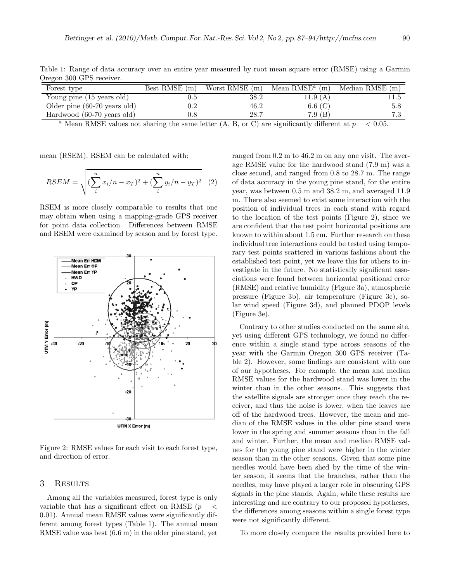|                          |  |  | Table 1: Range of data accuracy over an entire year measured by root mean square error (RMSE) using a Garmin |
|--------------------------|--|--|--------------------------------------------------------------------------------------------------------------|
| Oregon 300 GPS receiver. |  |  |                                                                                                              |

| $38.2\,$<br>Young pine (15 years old)<br>11.9 (A`<br>U.5 | Forest type                            | Best RMSE (m) | Worst RMSE $(m)$ | Mean $RMSE^a$ (m) | Median RMSE $(m)$ |
|----------------------------------------------------------|----------------------------------------|---------------|------------------|-------------------|-------------------|
|                                                          |                                        |               |                  |                   | 6.LL              |
|                                                          | Older pine $(60-70 \text{ years old})$ | $\rm 0.2$     | 46.2             | 6.6 $(C)$         | 5.8               |
| 7.9(B)<br>28.7<br>Hardwood (60-70 years old)<br>0.8      |                                        |               |                  |                   |                   |

<span id="page-3-0"></span><sup>*a*</sup> Mean RMSE values not sharing the same letter  $(A, B, or C)$  are significantly different at  $p \leq 0.05$ .

mean (RSEM). RSEM can be calculated with:

$$
RSEM = \sqrt{(\sum_{i}^{n} x_i/n - x_T)^2 + (\sum_{i}^{n} y_i/n - y_T)^2}
$$
 (2)

RSEM is more closely comparable to results that one may obtain when using a mapping-grade GPS receiver for point data collection. Differences between RMSE and RSEM were examined by season and by forest type.



Figure 2: RMSE values for each visit to each forest type, and direction of error.

### 3 RESULTS

Among all the variables measured, forest type is only variable that has a significant effect on RMSE (*p <* 0.01). Annual mean RMSE values were significantly different among forest types (Table 1). The annual mean RMSE value was best (6.6 m) in the older pine stand, yet ranged from 0.2 m to 46.2 m on any one visit. The average RMSE value for the hardwood stand (7.9 m) was a close second, and ranged from 0.8 to 28.7 m. The range of data accuracy in the young pine stand, for the entire year, was between 0.5 m and 38.2 m, and averaged 11.9 m. There also seemed to exist some interaction with the position of individual trees in each stand with regard to the location of the test points (Figure 2), since we are confident that the test point horizontal positions are known to within about 1.5 cm. Further research on these individual tree interactions could be tested using temporary test points scattered in various fashions about the established test point, yet we leave this for others to investigate in the future. No statistically significant associations were found between horizontal positional error (RMSE) and relative humidity (Figure 3a), atmospheric pressure (Figure 3b), air temperature (Figure 3c), solar wind speed (Figure 3d), and planned PDOP levels (Figure 3e).

Contrary to other studies conducted on the same site, yet using different GPS technology, we found no difference within a single stand type across seasons of the year with the Garmin Oregon 300 GPS receiver (Table 2). However, some findings are consistent with one of our hypotheses. For example, the mean and median RMSE values for the hardwood stand was lower in the winter than in the other seasons. This suggests that the satellite signals are stronger once they reach the receiver, and thus the noise is lower, when the leaves are off of the hardwood trees. However, the mean and median of the RMSE values in the older pine stand were lower in the spring and summer seasons than in the fall and winter. Further, the mean and median RMSE values for the young pine stand were higher in the winter season than in the other seasons. Given that some pine needles would have been shed by the time of the winter season, it seems that the branches, rather than the needles, may have played a larger role in obscuring GPS signals in the pine stands. Again, while these results are interesting and are contrary to our proposed hypotheses, the differences among seasons within a single forest type were not significantly different.

To more closely compare the results provided here to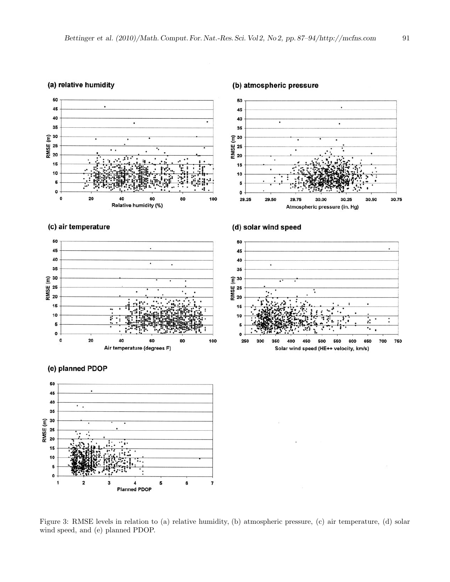# (a) relative humidity



(c) air temperature



(b) atmospheric pressure



# (d) solar wind speed







Figure 3: RMSE levels in relation to (a) relative humidity, (b) atmospheric pressure, (c) air temperature, (d) solar wind speed, and (e) planned PDOP.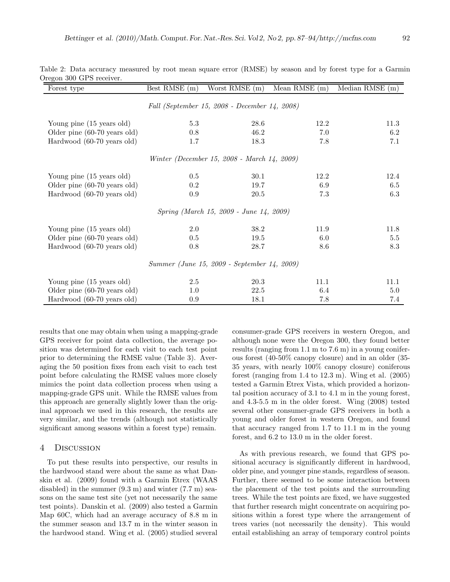| Forest type                                   | Best RMSE (m) | Worst RMSE $(m)$                            | Mean RMSE $(m)$ | Median RMSE $(m)$ |  |  |  |
|-----------------------------------------------|---------------|---------------------------------------------|-----------------|-------------------|--|--|--|
|                                               |               |                                             |                 |                   |  |  |  |
| Fall (September 15, 2008 - December 14, 2008) |               |                                             |                 |                   |  |  |  |
| Young pine (15 years old)                     | 5.3           | 28.6                                        | 12.2            | 11.3              |  |  |  |
| Older pine $(60-70 \text{ years old})$        | 0.8           | 46.2                                        | 7.0             | 6.2               |  |  |  |
| Hardwood (60-70 years old)                    | 1.7           | 18.3                                        | 7.8             | 7.1               |  |  |  |
| Winter (December 15, 2008 - March 14, 2009)   |               |                                             |                 |                   |  |  |  |
| Young pine (15 years old)                     | $0.5\,$       | 30.1                                        | 12.2            | 12.4              |  |  |  |
| Older pine $(60-70 \text{ years old})$        | $0.2\,$       | 19.7                                        | 6.9             | 6.5               |  |  |  |
| Hardwood (60-70 years old)                    | 0.9           | 20.5                                        | 7.3             | 6.3               |  |  |  |
| Spring (March 15, 2009 - June 14, 2009)       |               |                                             |                 |                   |  |  |  |
| Young pine (15 years old)                     | 2.0           | 38.2                                        | 11.9            | 11.8              |  |  |  |
| Older pine $(60-70 \text{ years old})$        | 0.5           | 19.5                                        | 6.0             | 5.5               |  |  |  |
| Hardwood (60-70 years old)                    | 0.8           | 28.7                                        | 8.6             | 8.3               |  |  |  |
|                                               |               | Summer (June 15, 2009 - September 14, 2009) |                 |                   |  |  |  |
| Young pine (15 years old)                     | 2.5           | 20.3                                        | 11.1            | 11.1              |  |  |  |
| Older pine $(60-70 \text{ years old})$        | $1.0\,$       | 22.5                                        | 6.4             | 5.0               |  |  |  |
| Hardwood (60-70 years old)                    | 0.9           | 18.1                                        | 7.8             | 7.4               |  |  |  |

Table 2: Data accuracy measured by root mean square error (RMSE) by season and by forest type for a Garmin Oregon 300 GPS receiver.

results that one may obtain when using a mapping-grade GPS receiver for point data collection, the average position was determined for each visit to each test point prior to determining the RMSE value (Table 3). Averaging the 50 position fixes from each visit to each test point before calculating the RMSE values more closely mimics the point data collection process when using a mapping-grade GPS unit. While the RMSE values from this approach are generally slightly lower than the original approach we used in this research, the results are very similar, and the trends (although not statistically significant among seasons within a forest type) remain.

### 4 Discussion

To put these results into perspective, our results in the hardwood stand were about the same as what Danskin et al. (2009) found with a Garmin Etrex (WAAS disabled) in the summer  $(9.3 \text{ m})$  and winter  $(7.7 \text{ m})$  seasons on the same test site (yet not necessarily the same test points). Danskin et al. (2009) also tested a Garmin Map 60C, which had an average accuracy of 8.8 m in the summer season and 13.7 m in the winter season in the hardwood stand. Wing et al. (2005) studied several consumer-grade GPS receivers in western Oregon, and although none were the Oregon 300, they found better results (ranging from 1.1 m to 7.6 m) in a young coniferous forest (40-50% canopy closure) and in an older (35- 35 years, with nearly 100% canopy closure) coniferous forest (ranging from  $1.4$  to  $12.3$  m). Wing et al.  $(2005)$ tested a Garmin Etrex Vista, which provided a horizontal position accuracy of 3.1 to 4.1 m in the young forest, and 4.3-5.5 m in the older forest. Wing (2008) tested several other consumer-grade GPS receivers in both a young and older forest in western Oregon, and found that accuracy ranged from 1.7 to 11.1 m in the young forest, and 6.2 to 13.0 m in the older forest.

As with previous research, we found that GPS positional accuracy is significantly different in hardwood, older pine, and younger pine stands, regardless of season. Further, there seemed to be some interaction between the placement of the test points and the surrounding trees. While the test points are fixed, we have suggested that further research might concentrate on acquiring positions within a forest type where the arrangement of trees varies (not necessarily the density). This would entail establishing an array of temporary control points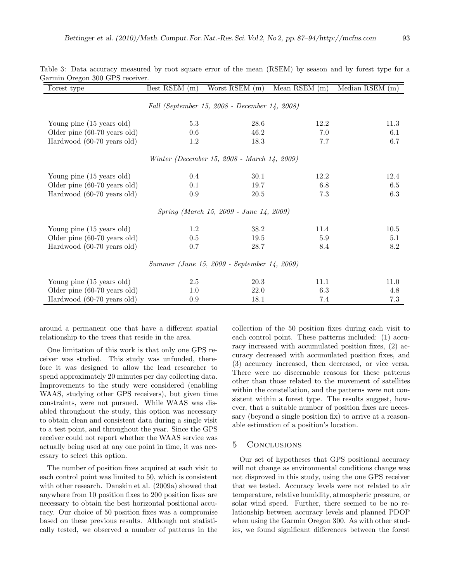| Forest type                                   | Best RSEM (m) | Worst RSEM $(m)$ | Mean RSEM $(m)$ | Median RSEM $(m)$ |  |  |  |
|-----------------------------------------------|---------------|------------------|-----------------|-------------------|--|--|--|
|                                               |               |                  |                 |                   |  |  |  |
| Fall (September 15, 2008 - December 14, 2008) |               |                  |                 |                   |  |  |  |
| Young pine (15 years old)                     | 5.3           | 28.6             | 12.2            | 11.3              |  |  |  |
| Older pine $(60-70 \text{ years old})$        | $0.6\,$       | 46.2             | 7.0             | 6.1               |  |  |  |
| Hardwood (60-70 years old)                    | 1.2           | 18.3             | 7.7             | 6.7               |  |  |  |
| Winter (December 15, 2008 - March 14, 2009)   |               |                  |                 |                   |  |  |  |
| Young pine (15 years old)                     | $0.4\,$       | 30.1             | 12.2            | 12.4              |  |  |  |
| Older pine $(60-70 \text{ years old})$        | 0.1           | 19.7             | 6.8             | 6.5               |  |  |  |
| Hardwood (60-70 years old)                    | 0.9           | 20.5             | 7.3             | 6.3               |  |  |  |
| Spring (March 15, 2009 - June 14, 2009)       |               |                  |                 |                   |  |  |  |
| Young pine (15 years old)                     | 1.2           | 38.2             | 11.4            | 10.5              |  |  |  |
| Older pine $(60-70 \text{ years old})$        | $0.5\,$       | 19.5             | 5.9             | 5.1               |  |  |  |
| Hardwood (60-70 years old)                    | 0.7           | 28.7             | 8.4             | 8.2               |  |  |  |
| Summer (June 15, 2009 - September 14, 2009)   |               |                  |                 |                   |  |  |  |
| Young pine (15 years old)                     | 2.5           | 20.3             | 11.1            | 11.0              |  |  |  |
| Older pine $(60-70 \text{ years old})$        | 1.0           | 22.0             | 6.3             | 4.8               |  |  |  |
| Hardwood (60-70 years old)                    | 0.9           | 18.1             | 7.4             | 7.3               |  |  |  |

Table 3: Data accuracy measured by root square error of the mean (RSEM) by season and by forest type for a Garmin Oregon 300 GPS receiver.

around a permanent one that have a different spatial relationship to the trees that reside in the area.

One limitation of this work is that only one GPS receiver was studied. This study was unfunded, therefore it was designed to allow the lead researcher to spend approximately 20 minutes per day collecting data. Improvements to the study were considered (enabling WAAS, studying other GPS receivers), but given time constraints, were not pursued. While WAAS was disabled throughout the study, this option was necessary to obtain clean and consistent data during a single visit to a test point, and throughout the year. Since the GPS receiver could not report whether the WAAS service was actually being used at any one point in time, it was necessary to select this option.

The number of position fixes acquired at each visit to each control point was limited to 50, which is consistent with other research. Danskin et al. (2009a) showed that anywhere from 10 position fixes to 200 position fixes are necessary to obtain the best horizontal positional accuracy. Our choice of 50 position fixes was a compromise based on these previous results. Although not statistically tested, we observed a number of patterns in the

collection of the 50 position fixes during each visit to each control point. These patterns included: [\(1\)](#page-2-0) accuracy increased with accumulated position fixes, [\(2\)](#page-3-0) accuracy decreased with accumulated position fixes, and (3) accuracy increased, then decreased, or vice versa. There were no discernable reasons for these patterns other than those related to the movement of satellites within the constellation, and the patterns were not consistent within a forest type. The results suggest, however, that a suitable number of position fixes are necessary (beyond a single position fix) to arrive at a reasonable estimation of a position's location.

#### 5 Conclusions

Our set of hypotheses that GPS positional accuracy will not change as environmental conditions change was not disproved in this study, using the one GPS receiver that we tested. Accuracy levels were not related to air temperature, relative humidity, atmospheric pressure, or solar wind speed. Further, there seemed to be no relationship between accuracy levels and planned PDOP when using the Garmin Oregon 300. As with other studies, we found significant differences between the forest